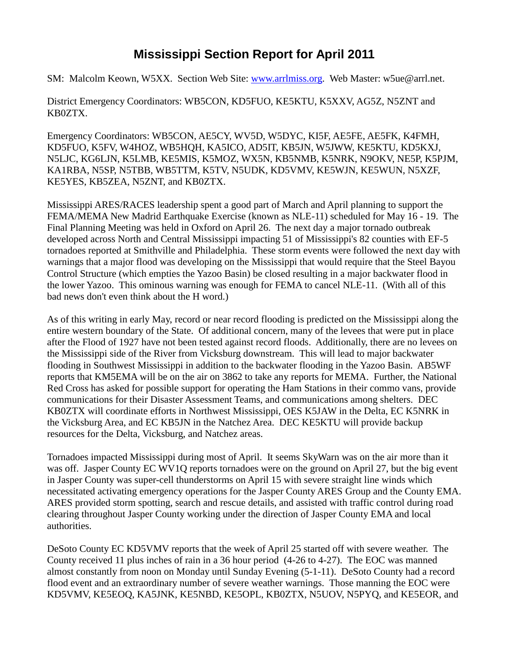## **Mississippi Section Report for April 2011**

SM: Malcolm Keown, W5XX. Section Web Site: [www.arrlmiss.org.](http://www.arrlmiss.org/) Web Master: w5ue@arrl.net.

District Emergency Coordinators: WB5CON, KD5FUO, KE5KTU, K5XXV, AG5Z, N5ZNT and KB0ZTX.

Emergency Coordinators: WB5CON, AE5CY, WV5D, W5DYC, KI5F, AE5FE, AE5FK, K4FMH, KD5FUO, K5FV, W4HOZ, WB5HQH, KA5ICO, AD5IT, KB5JN, W5JWW, KE5KTU, KD5KXJ, N5LJC, KG6LJN, K5LMB, KE5MIS, K5MOZ, WX5N, KB5NMB, K5NRK, N9OKV, NE5P, K5PJM, KA1RBA, N5SP, N5TBB, WB5TTM, K5TV, N5UDK, KD5VMV, KE5WJN, KE5WUN, N5XZF, KE5YES, KB5ZEA, N5ZNT, and KB0ZTX.

Mississippi ARES/RACES leadership spent a good part of March and April planning to support the FEMA/MEMA New Madrid Earthquake Exercise (known as NLE-11) scheduled for May 16 - 19. The Final Planning Meeting was held in Oxford on April 26. The next day a major tornado outbreak developed across North and Central Mississippi impacting 51 of Mississippi's 82 counties with EF-5 tornadoes reported at Smithville and Philadelphia. These storm events were followed the next day with warnings that a major flood was developing on the Mississippi that would require that the Steel Bayou Control Structure (which empties the Yazoo Basin) be closed resulting in a major backwater flood in the lower Yazoo. This ominous warning was enough for FEMA to cancel NLE-11. (With all of this bad news don't even think about the H word.)

As of this writing in early May, record or near record flooding is predicted on the Mississippi along the entire western boundary of the State. Of additional concern, many of the levees that were put in place after the Flood of 1927 have not been tested against record floods. Additionally, there are no levees on the Mississippi side of the River from Vicksburg downstream. This will lead to major backwater flooding in Southwest Mississippi in addition to the backwater flooding in the Yazoo Basin. AB5WF reports that KM5EMA will be on the air on 3862 to take any reports for MEMA. Further, the National Red Cross has asked for possible support for operating the Ham Stations in their commo vans, provide communications for their Disaster Assessment Teams, and communications among shelters. DEC KB0ZTX will coordinate efforts in Northwest Mississippi, OES K5JAW in the Delta, EC K5NRK in the Vicksburg Area, and EC KB5JN in the Natchez Area. DEC KE5KTU will provide backup resources for the Delta, Vicksburg, and Natchez areas.

Tornadoes impacted Mississippi during most of April. It seems SkyWarn was on the air more than it was off. Jasper County EC WV1Q reports tornadoes were on the ground on April 27, but the big event in Jasper County was super-cell thunderstorms on April 15 with severe straight line winds which necessitated activating emergency operations for the Jasper County ARES Group and the County EMA. ARES provided storm spotting, search and rescue details, and assisted with traffic control during road clearing throughout Jasper County working under the direction of Jasper County EMA and local authorities.

DeSoto County EC KD5VMV reports that the week of April 25 started off with severe weather. The County received 11 plus inches of rain in a 36 hour period (4-26 to 4-27). The EOC was manned almost constantly from noon on Monday until Sunday Evening (5-1-11). DeSoto County had a record flood event and an extraordinary number of severe weather warnings. Those manning the EOC were KD5VMV, KE5EOQ, KA5JNK, KE5NBD, KE5OPL, KB0ZTX, N5UOV, N5PYQ, and KE5EOR, and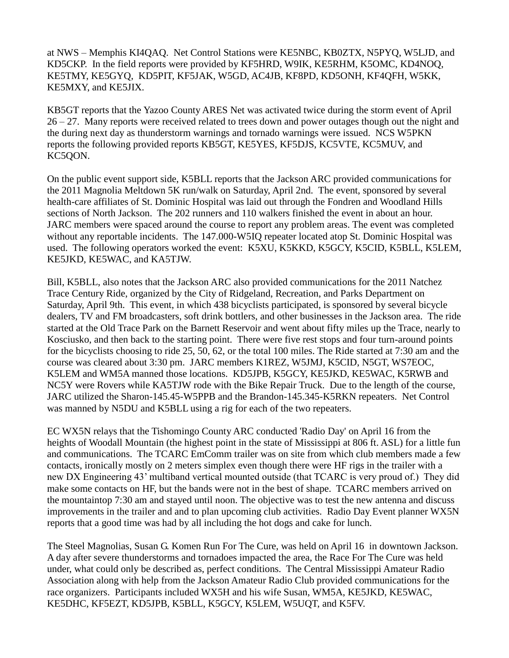at NWS – Memphis KI4QAQ. Net Control Stations were KE5NBC, KB0ZTX, N5PYQ, W5LJD, and KD5CKP. In the field reports were provided by KF5HRD, W9IK, KE5RHM, K5OMC, KD4NOQ, KE5TMY, KE5GYQ, KD5PIT, KF5JAK, W5GD, AC4JB, KF8PD, KD5ONH, KF4QFH, W5KK, KE5MXY, and KE5JIX.

KB5GT reports that the Yazoo County ARES Net was activated twice during the storm event of April 26 – 27. Many reports were received related to trees down and power outages though out the night and the during next day as thunderstorm warnings and tornado warnings were issued. NCS W5PKN reports the following provided reports KB5GT, KE5YES, KF5DJS, KC5VTE, KC5MUV, and KC5QON.

On the public event support side, K5BLL reports that the Jackson ARC provided communications for the 2011 Magnolia Meltdown 5K run/walk on Saturday, April 2nd. The event, sponsored by several health-care affiliates of St. Dominic Hospital was laid out through the Fondren and Woodland Hills sections of North Jackson. The 202 runners and 110 walkers finished the event in about an hour. JARC members were spaced around the course to report any problem areas. The event was completed without any reportable incidents. The 147.000-W5IQ repeater located atop St. Dominic Hospital was used. The following operators worked the event: K5XU, K5KKD, K5GCY, K5CID, K5BLL, K5LEM, KE5JKD, KE5WAC, and KA5TJW.

Bill, K5BLL, also notes that the Jackson ARC also provided communications for the 2011 Natchez Trace Century Ride, organized by the City of Ridgeland, Recreation, and Parks Department on Saturday, April 9th. This event, in which 438 bicyclists participated, is sponsored by several bicycle dealers, TV and FM broadcasters, soft drink bottlers, and other businesses in the Jackson area. The ride started at the Old Trace Park on the Barnett Reservoir and went about fifty miles up the Trace, nearly to Kosciusko, and then back to the starting point. There were five rest stops and four turn-around points for the bicyclists choosing to ride 25, 50, 62, or the total 100 miles. The Ride started at 7:30 am and the course was cleared about 3:30 pm. JARC members K1REZ, W5JMJ, K5CID, N5GT, WS7EOC, K5LEM and WM5A manned those locations. KD5JPB, K5GCY, KE5JKD, KE5WAC, K5RWB and NC5Y were Rovers while KA5TJW rode with the Bike Repair Truck. Due to the length of the course, JARC utilized the Sharon-145.45-W5PPB and the Brandon-145.345-K5RKN repeaters. Net Control was manned by N5DU and K5BLL using a rig for each of the two repeaters.

EC WX5N relays that the Tishomingo County ARC conducted 'Radio Day' on April 16 from the heights of Woodall Mountain (the highest point in the state of Mississippi at 806 ft. ASL) for a little fun and communications. The TCARC EmComm trailer was on site from which club members made a few contacts, ironically mostly on 2 meters simplex even though there were HF rigs in the trailer with a new DX Engineering 43' multiband vertical mounted outside (that TCARC is very proud of.) They did make some contacts on HF, but the bands were not in the best of shape. TCARC members arrived on the mountaintop 7:30 am and stayed until noon. The objective was to test the new antenna and discuss improvements in the trailer and and to plan upcoming club activities. Radio Day Event planner WX5N reports that a good time was had by all including the hot dogs and cake for lunch.

The Steel Magnolias, Susan G. Komen Run For The Cure, was held on April 16 in downtown Jackson. A day after severe thunderstorms and tornadoes impacted the area, the Race For The Cure was held under, what could only be described as, perfect conditions. The Central Mississippi Amateur Radio Association along with help from the Jackson Amateur Radio Club provided communications for the race organizers. Participants included WX5H and his wife Susan, WM5A, KE5JKD, KE5WAC, KE5DHC, KF5EZT, KD5JPB, K5BLL, K5GCY, K5LEM, W5UQT, and K5FV.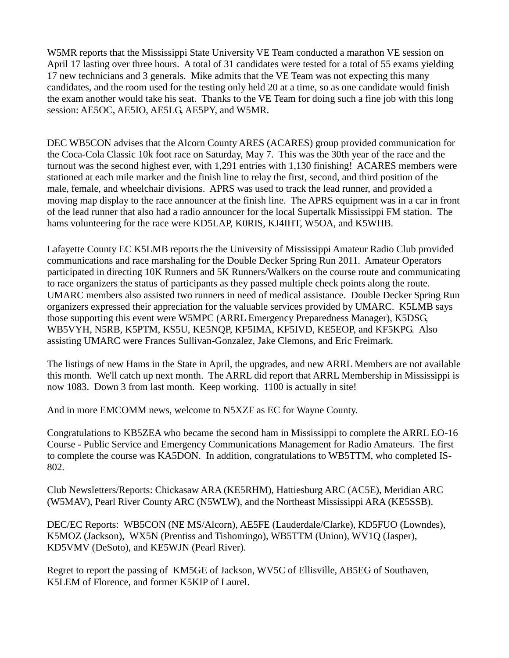W5MR reports that the Mississippi State University VE Team conducted a marathon VE session on April 17 lasting over three hours. A total of 31 candidates were tested for a total of 55 exams yielding 17 new technicians and 3 generals. Mike admits that the VE Team was not expecting this many candidates, and the room used for the testing only held 20 at a time, so as one candidate would finish the exam another would take his seat. Thanks to the VE Team for doing such a fine job with this long session: AE5OC, AE5IO, AE5LG, AE5PY, and W5MR.

DEC WB5CON advises that the Alcorn County ARES (ACARES) group provided communication for the Coca-Cola Classic 10k foot race on Saturday, May 7. This was the 30th year of the race and the turnout was the second highest ever, with 1,291 entries with 1,130 finishing! ACARES members were stationed at each mile marker and the finish line to relay the first, second, and third position of the male, female, and wheelchair divisions. APRS was used to track the lead runner, and provided a moving map display to the race announcer at the finish line. The APRS equipment was in a car in front of the lead runner that also had a radio announcer for the local Supertalk Mississippi FM station. The hams volunteering for the race were KD5LAP, K0RIS, KJ4IHT, W5OA, and K5WHB.

Lafayette County EC K5LMB reports the the University of Mississippi Amateur Radio Club provided communications and race marshaling for the Double Decker Spring Run 2011. Amateur Operators participated in directing 10K Runners and 5K Runners/Walkers on the course route and communicating to race organizers the status of participants as they passed multiple check points along the route. UMARC members also assisted two runners in need of medical assistance. Double Decker Spring Run organizers expressed their appreciation for the valuable services provided by UMARC. K5LMB says those supporting this event were W5MPC (ARRL Emergency Preparedness Manager), K5DSG, WB5VYH, N5RB, K5PTM, KS5U, KE5NQP, KF5IMA, KF5IVD, KE5EOP, and KF5KPG. Also assisting UMARC were Frances Sullivan-Gonzalez, Jake Clemons, and Eric Freimark.

The listings of new Hams in the State in April, the upgrades, and new ARRL Members are not available this month. We'll catch up next month. The ARRL did report that ARRL Membership in Mississippi is now 1083. Down 3 from last month. Keep working. 1100 is actually in site!

And in more EMCOMM news, welcome to N5XZF as EC for Wayne County.

Congratulations to KB5ZEA who became the second ham in Mississippi to complete the ARRL EO-16 Course - Public Service and Emergency Communications Management for Radio Amateurs. The first to complete the course was KA5DON. In addition, congratulations to WB5TTM, who completed IS-802.

Club Newsletters/Reports: Chickasaw ARA (KE5RHM), Hattiesburg ARC (AC5E), Meridian ARC (W5MAV), Pearl River County ARC (N5WLW), and the Northeast Mississippi ARA (KE5SSB).

DEC/EC Reports: WB5CON (NE MS/Alcorn), AE5FE (Lauderdale/Clarke), KD5FUO (Lowndes), K5MOZ (Jackson), WX5N (Prentiss and Tishomingo), WB5TTM (Union), WV1Q (Jasper), KD5VMV (DeSoto), and KE5WJN (Pearl River).

Regret to report the passing of KM5GE of Jackson, WV5C of Ellisville, AB5EG of Southaven, K5LEM of Florence, and former K5KIP of Laurel.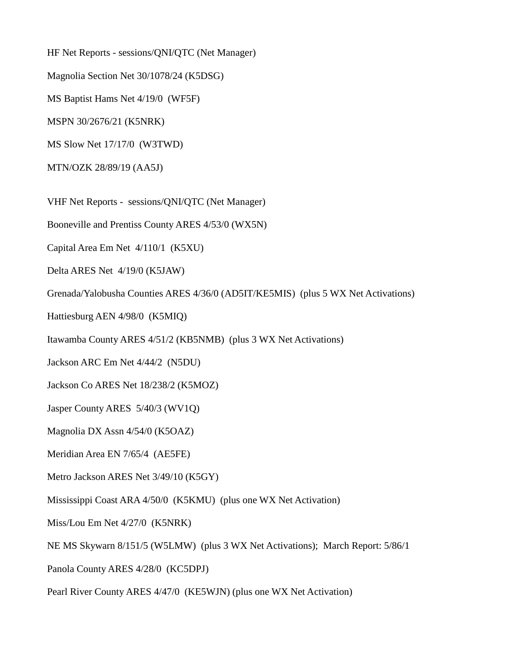HF Net Reports - sessions/QNI/QTC (Net Manager)

Magnolia Section Net 30/1078/24 (K5DSG)

MS Baptist Hams Net 4/19/0 (WF5F)

MSPN 30/2676/21 (K5NRK)

MS Slow Net 17/17/0 (W3TWD)

MTN/OZK 28/89/19 (AA5J)

VHF Net Reports - sessions/QNI/QTC (Net Manager)

Booneville and Prentiss County ARES 4/53/0 (WX5N)

Capital Area Em Net 4/110/1 (K5XU)

Delta ARES Net 4/19/0 (K5JAW)

Grenada/Yalobusha Counties ARES 4/36/0 (AD5IT/KE5MIS) (plus 5 WX Net Activations)

Hattiesburg AEN 4/98/0 (K5MIQ)

Itawamba County ARES 4/51/2 (KB5NMB) (plus 3 WX Net Activations)

Jackson ARC Em Net 4/44/2 (N5DU)

Jackson Co ARES Net 18/238/2 (K5MOZ)

Jasper County ARES 5/40/3 (WV1Q)

Magnolia DX Assn 4/54/0 (K5OAZ)

Meridian Area EN 7/65/4 (AE5FE)

Metro Jackson ARES Net 3/49/10 (K5GY)

Mississippi Coast ARA 4/50/0 (K5KMU) (plus one WX Net Activation)

Miss/Lou Em Net 4/27/0 (K5NRK)

NE MS Skywarn 8/151/5 (W5LMW) (plus 3 WX Net Activations); March Report: 5/86/1

Panola County ARES 4/28/0 (KC5DPJ)

Pearl River County ARES 4/47/0 (KE5WJN) (plus one WX Net Activation)